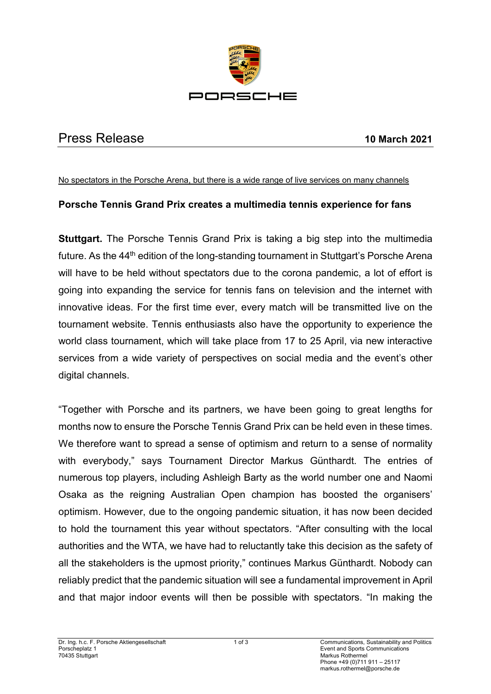

# Press Release **10 March 2021**

#### No spectators in the Porsche Arena, but there is a wide range of live services on many channels

## **Porsche Tennis Grand Prix creates a multimedia tennis experience for fans**

**Stuttgart.** The Porsche Tennis Grand Prix is taking a big step into the multimedia future. As the 44<sup>th</sup> edition of the long-standing tournament in Stuttgart's Porsche Arena will have to be held without spectators due to the corona pandemic, a lot of effort is going into expanding the service for tennis fans on television and the internet with innovative ideas. For the first time ever, every match will be transmitted live on the tournament website. Tennis enthusiasts also have the opportunity to experience the world class tournament, which will take place from 17 to 25 April, via new interactive services from a wide variety of perspectives on social media and the event's other digital channels.

"Together with Porsche and its partners, we have been going to great lengths for months now to ensure the Porsche Tennis Grand Prix can be held even in these times. We therefore want to spread a sense of optimism and return to a sense of normality with everybody," says Tournament Director Markus Günthardt. The entries of numerous top players, including Ashleigh Barty as the world number one and Naomi Osaka as the reigning Australian Open champion has boosted the organisers' optimism. However, due to the ongoing pandemic situation, it has now been decided to hold the tournament this year without spectators. "After consulting with the local authorities and the WTA, we have had to reluctantly take this decision as the safety of all the stakeholders is the upmost priority," continues Markus Günthardt. Nobody can reliably predict that the pandemic situation will see a fundamental improvement in April and that major indoor events will then be possible with spectators. "In making the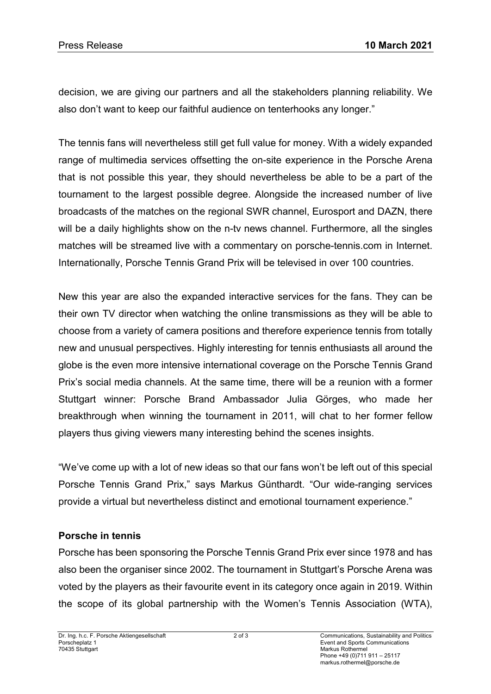decision, we are giving our partners and all the stakeholders planning reliability. We also don't want to keep our faithful audience on tenterhooks any longer."

The tennis fans will nevertheless still get full value for money. With a widely expanded range of multimedia services offsetting the on-site experience in the Porsche Arena that is not possible this year, they should nevertheless be able to be a part of the tournament to the largest possible degree. Alongside the increased number of live broadcasts of the matches on the regional SWR channel, Eurosport and DAZN, there will be a daily highlights show on the n-ty news channel. Furthermore, all the singles matches will be streamed live with a commentary on porsche-tennis.com in Internet. Internationally, Porsche Tennis Grand Prix will be televised in over 100 countries.

New this year are also the expanded interactive services for the fans. They can be their own TV director when watching the online transmissions as they will be able to choose from a variety of camera positions and therefore experience tennis from totally new and unusual perspectives. Highly interesting for tennis enthusiasts all around the globe is the even more intensive international coverage on the Porsche Tennis Grand Prix's social media channels. At the same time, there will be a reunion with a former Stuttgart winner: Porsche Brand Ambassador Julia Görges, who made her breakthrough when winning the tournament in 2011, will chat to her former fellow players thus giving viewers many interesting behind the scenes insights.

"We've come up with a lot of new ideas so that our fans won't be left out of this special Porsche Tennis Grand Prix," says Markus Günthardt. "Our wide-ranging services provide a virtual but nevertheless distinct and emotional tournament experience."

## **Porsche in tennis**

Porsche has been sponsoring the Porsche Tennis Grand Prix ever since 1978 and has also been the organiser since 2002. The tournament in Stuttgart's Porsche Arena was voted by the players as their favourite event in its category once again in 2019. Within the scope of its global partnership with the Women's Tennis Association (WTA),